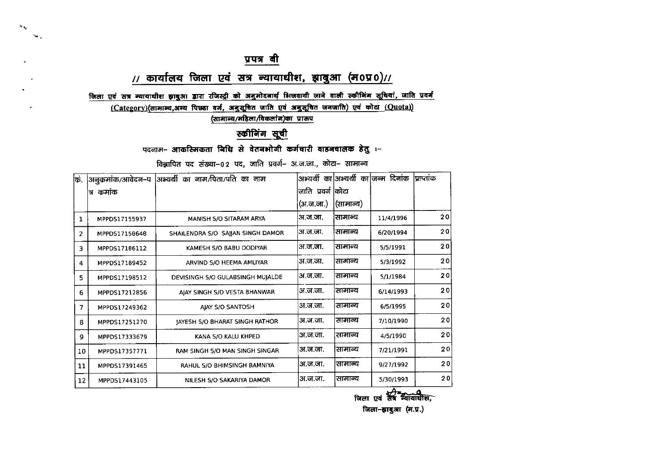$\mathbf{G}_{\mathbf{q}_i}$  $\mathcal{L}_{\mathbf{A}}$  .

 $\sim$ 

 $\mathbf{r}$ 

#### // कार्यालय जिला एवं सत्र न्यायाधीश, झाबुआ (म0प्र0)//

जिला एवं सत्र न्यायाधीश झाबुआ द्वारा रजिस्ट्री को अनुमोदनार्थ भिजवायी जाने वाली स्कीनिंग सूचियां, जाति प्रवर्ग

(Category)(सामान्य,अन्य पिछ्डा वर्ग, अनुसूचित जाति एवं अनुसूचित जनजाति) एवं कोटा (Quota))

(सामान्य/महिला/विकलांग)का प्रारूप

#### स्कीनिंग सूची

पदनाम- आकस्मिकता निधि से वेतनभोगी कर्मचारी वाहनचालक हेतु :-

विझापित पद संख्या-02 पद, जाति प्रवर्ग- अ.ज.जा., कोटा- सामान्य

| अनुकमांक/आवेदन–प | अभ्यर्थी का नाम/पिता/पति का नाम       |           |           | अभ्यर्थी का अभ्यर्थी का जन्म दिनांक | प्राप्तांक |
|------------------|---------------------------------------|-----------|-----------|-------------------------------------|------------|
| 'त्र कमांक       |                                       |           |           |                                     |            |
|                  |                                       | (अ.ज.जा.) | (सामान्य) |                                     |            |
| MPPDS17155937    | MANISH S/O SITARAM ARYA               | अ.ज.जा.   | सामान्य   | 11/4/1996                           | 20         |
| MPPD517158648    | SHAILENDRA S/O SAJJAN SINGH DAMOR     | अ.ज.जा.   | सामान्य   | 6/20/1994                           | 20         |
| MPPD517186112    | KAMESH S/O BABU DODIYAR               | अ.ज.जा.   | सामान्य   | 5/5/1991                            | 20         |
| MPPDS17189452    | ARVIND S/O HEEMA AMLIYAR              | अ.ज.जा.   | सामान्य   | 5/3/1992                            | 20         |
| MPPDS17198512    | DEVISINGH S/O GULABSINGH MUJALDE      | अ.ज.जा.   | सामान्य   | 5/1/1984                            | 20         |
| MPPDS17212856    | AJAY SINGH S/O VESTA BHANWAR          | अ.ज.जा.   | सामान्य   | 6/14/1993                           | 20         |
| MPPDS17249362    | AIAY S/O SANTOSH                      | अ.ज.जा.   | सामान्य   | 6/5/1995                            | 20         |
| MPPDS17251270    | <b>IAYESH S/O BHARAT SINGH RATHOR</b> | अ.ज.जा.   | सामान्य   | 7/10/1990                           | 20         |
| MPPD517333679    | KANA S/O KALU KHPED                   | अ.ज.जा.   | सामान्य   | 4/5/1990                            | 20         |
| MPPDS17357771    | RAM SINGH 5/0 MAN SINGH SINGAR        | अ.ज.जा.   | सामान्य   | 7/21/1991                           | 20         |
| MPPDS17391465    | RAHUL 5/O BHIMSINGH BAMNIYA           | अ.ज.जा.   | सामान्य   | 9/27/1992                           | 20         |
| MPPDS17443105    | NILESH S/O SAKARIYA DAMOR             | अ.ज.ज.    | सामान्य   | 5/30/1993                           | 20         |
|                  |                                       |           |           | जाति प्रवर्ग कोटा                   |            |

जिला एवं संत्र न्यायाधीश जिला-झाबुआ (म.प्र.)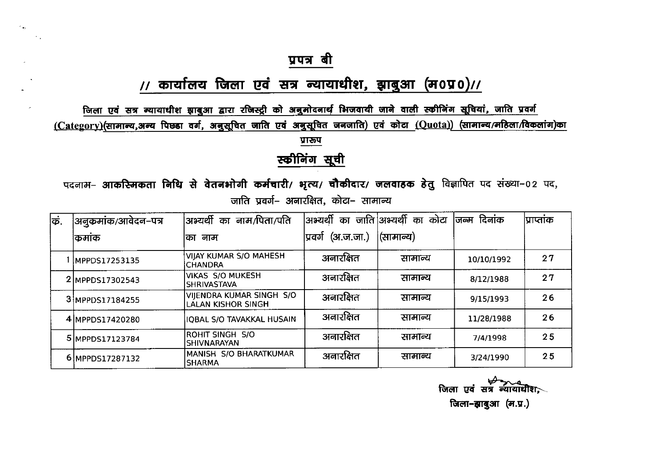$\epsilon_{xy}$ 

 $\epsilon$ 

 $\sim$  .

## // कार्यालय जिला एवं सत्र न्यायाधीश, झाबुआ (म0प्र0)//

जिला एवं सत्र न्यायाधीश झाबुआ द्वारा रजिस्ट्री को अनुमोदनार्थ भिजवायी जाने वाली स्कीनिंग सूचियां, जाति प्रवर्ग (Category)(सामान्य,अन्य पिछ्डा वर्ग, अनुसूचित जाति एवं अनुसूचित जनजाति) एवं कोटा (Quota)) (सामान्य/महिला/विकलांग)का प्रारूप

स्कीनिंग सूची

पदनाम- आकस्मिकता निधि से वेतनभोगी कर्मचारी/ भृत्य/ चौकीदार/ जलवाहक हेतु विज्ञापित पद संख्या-02 पद, जाति प्रवर्ग– अनारक्षित. कोटा– सामान्य

| क. | अनुकमांक/आवेदन–पत्र | अभ्यर्थी का नाम/पिता/पति                              |                      | अभ्यर्थी का जाति अभ्यर्थी का कोटा | जिन्म दिनांक | प्राप्तांक |
|----|---------------------|-------------------------------------------------------|----------------------|-----------------------------------|--------------|------------|
|    | किमाक               | नाम<br>का                                             | (अ.ज.जा.)<br>प्रवर्ग | (सामान्य)                         |              |            |
|    | MPPDS17253135       | <b>VIJAY KUMAR S/O MAHESH</b><br><b>CHANDRA</b>       | अनारक्षित            | सामान्य                           | 10/10/1992   | 27         |
|    | 2 MPPDS17302543     | <b>VIKAS S/O MUKESH</b><br><b>SHRIVASTAVA</b>         | अनारक्षित            | सामान्य                           | 8/12/1988    | 27         |
|    | 3 MPPDS17184255     | VIJENDRA KUMAR SINGH S/O<br><b>LALAN KISHOR SINGH</b> | अनारक्षित            | सामान्य                           | 9/15/1993    | 26         |
|    | 4 MPPDS17420280     | IQBAL S/O TAVAKKAL HUSAIN                             | अनारक्षित            | सामान्य                           | 11/28/1988   | 26         |
|    | 5 MPPDS17123784     | ROHIT SINGH S/O<br><b>SHIVNARAYAN</b>                 | अनारक्षित            | सामान्य                           | 7/4/1998     | 25         |
|    | 6 MPPDS17287132     | MANISH S/O BHARATKUMAR<br>ISHARMA                     | अनारक्षित            | सामान्य                           | 3/24/1990    | 25         |

जिला एवं सत्र न्यायाधीश. जिला-झाबुआ (म.प्र.)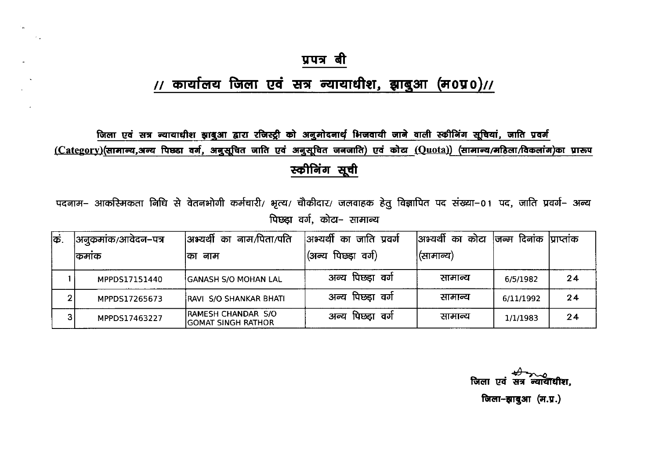$\sim$   $\,$ 

## // कार्यालय जिला एवं सत्र न्यायाधीश, झाबुआ (म0प्र0)//

जिला एवं सत्र न्यायाधीश झाबुआ द्वारा रजिस्ट्री को अनुमोदनार्थ भिजवायी जाने वाली स्कीनिंग सूचियां, जाति प्रवर्ग (Category)(सामान्य,अन्य पिछ्डा वर्ग, अनुसूचित जाति एवं अनुसूचित जनजाति) एवं कोटा (Quota)) (सामान्य/महिला/विकलांग)का प्रारूप स्कीनिंग सूची

पदनाम– आकस्मिकता निधि से वेतनभोगी कर्मचारी/ भृत्य/ चौकीदार/ जलवाहक हेतु विज्ञापित पद संख्या–01 पद, जाति प्रवर्ग– अन्य पिछड़ा वर्ग, कोटा- सामान्य

| कि. | अनूकमांक/आवेदन–पत्र | अभ्यर्थी का नाम/पिता/पति                  | अभ्यर्थी का जाति प्रवर्ग | कोटा<br> अभ्यर्थी का | दिनांक<br>जिन्म | प्राप्ताक |
|-----|---------------------|-------------------------------------------|--------------------------|----------------------|-----------------|-----------|
|     | कमाक                | का नाम                                    | पिछड़ा<br>वर्ग)<br>(अन्य | (सामान्य)            |                 |           |
|     | MPPDS17151440       | <b>GANASH S/O MOHAN LAL</b>               | अन्य पिछड़ा वर्ग         | सामान्य              | 6/5/1982        | 24        |
| 2   | MPPDS17265673       | RAVI S/O SHANKAR BHATI                    | अन्य पिछड़ा वर्ग         | सामान्य              | 6/11/1992       | 24        |
| 3   | MPPDS17463227       | RAMESH CHANDAR S/O<br> GOMAT SINGH RATHOR | पिछड़ा वर्ग<br>अन्य      | सामान्य              | 1/1/1983        | 24        |

जिला एवं सत्र ੰਕਸ਼ਹੋਇਸ਼ਿਸ जिला-झाबुआ (म.प्र.)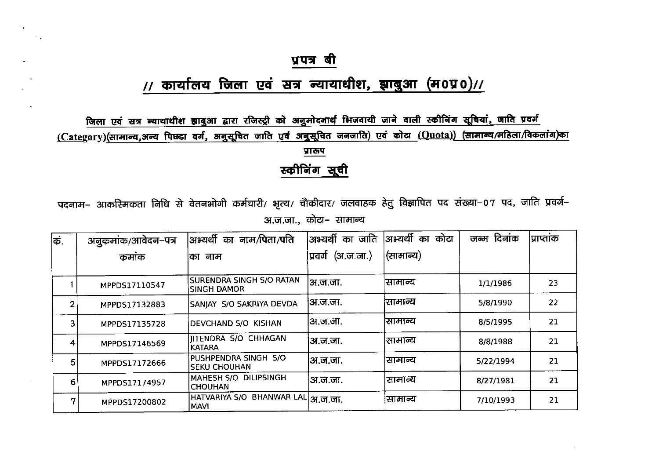#### // कार्यालय जिला एवं सत्र न्यायाधीश, झाबुआ (म0प्र0)//

जिला एवं सत्र न्यायाधीश झाबुआ द्वारा रजिस्ट्री को अनुमोदनार्थ भिजवायी जाने वाली स्कीनिंग सूचियां, जाति प्रवर्ग (Category)(सामान्य,अन्य पिछडा वर्ग, अनुसूचित जाति एवं अनुसूचित जनजाति) एवं कोटा (Quota)) (सामान्य/महिला/विकलांग)का

प्रारूप

स्कीनिंग सूची

पदनाम– आकस्मिकता निधि से वेतनभोगी कर्मचारी/ भृत्य/ चौकीदार/ जलवाहक हेतु विज्ञापित पद संख्या–07 पद, जाति प्रवर्ग– अ.ज.जा., कोटा- सामान्य

| क. | अनुकमांक/आवेदन–पत्र | अभ्यर्थी<br>नाम/पिता/पति<br>का                   | का जाति<br> अभ्यर्थी | अभ्यर्थी का<br>कोटा | जन्म दिनांक | <b>प्राप्ताक</b> |
|----|---------------------|--------------------------------------------------|----------------------|---------------------|-------------|------------------|
|    | कमांक               | नाम<br>का                                        | (अ.ज.जा.)<br>प्रवर्ग | (सामान्य)           |             |                  |
|    | MPPDS17110547       | SURENDRA SINGH S/O RATAN<br>SINGH DAMOR          | अ.ज.जा.              | सामान्य             | 1/1/1986    | 23               |
| 2  | MPPDS17132883       | SANJAY S/O SAKRIYA DEVDA                         | ।अ.ज.जा.             | सामान्य             | 5/8/1990    | 22               |
| 3  | MPPDS17135728       | DEVCHAND S/O KISHAN                              | अ.ज.जा.              | सामान्य             | 8/5/1995    | 21               |
| 4  | MPPDS17146569       | <b>JITENDRA S/O CHHAGAN</b><br><b>KATARA</b>     | ।अ.ज.जा.             | सामान्य             | 8/8/1988    | 21               |
| 5  | MPPDS17172666       | PUSHPENDRA SINGH S/O<br><b>SEKU CHOUHAN</b>      | ।अ.ज.जा.             | सामान्य             | 5/22/1994   | 21               |
| 6  | MPPDS17174957       | MAHESH S/O DILIPSINGH<br><b>CHOUHAN</b>          | ।अ.ज.जा.             | सामान्य             | 8/27/1981   | 21               |
| 7  | MPPDS17200802       | HATVARIYA S/O BHANWAR LAL अ.ज.जा.<br><b>MAVI</b> |                      | सामान्य             | 7/10/1993   | 21               |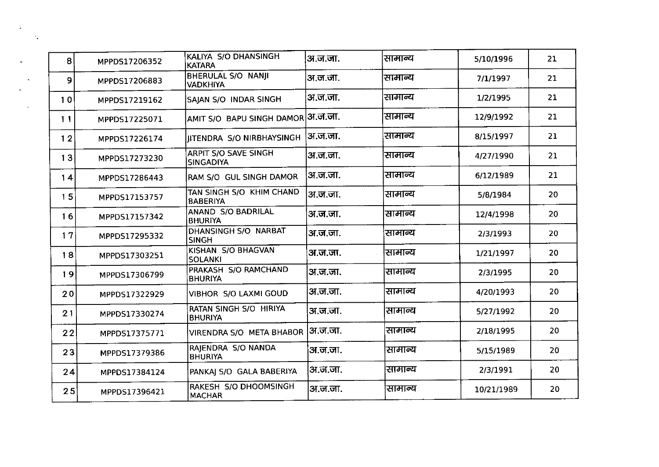| 8  | MPPDS17206352 | KALIYA S/O DHANSINGH<br><b>KATARA</b>       | अ.ज.जा.  | सामान्य | 5/10/1996  | 21 |
|----|---------------|---------------------------------------------|----------|---------|------------|----|
| 9  | MPPDS17206883 | BHERULAL S/O NANII<br><b>VADKHIYA</b>       | अ.ज.जा.  | सामान्य | 7/1/1997   | 21 |
| 10 | MPPDS17219162 | SAJAN S/O INDAR SINGH                       | अ.ज.जा.  | सामान्य | 1/2/1995   | 21 |
| 11 | MPPDS17225071 | AMIT S/O BAPU SINGH DAMOR                   | अ.ज.जा.  | सामान्य | 12/9/1992  | 21 |
| 12 | MPPDS17226174 | <b>IITENDRA S/O NIRBHAYSINGH</b>            | ।अ.ज.जा. | सामान्य | 8/15/1997  | 21 |
| 13 | MPPDS17273230 | ARPIT S/O SAVE SINGH<br><b>SINGADIYA</b>    | अ.ज.जा.  | सामान्य | 4/27/1990  | 21 |
| 14 | MPPDS17286443 | RAM S/O GUL SINGH DAMOR                     | अ.ज.जा.  | सामान्य | 6/12/1989  | 21 |
| 15 | MPPDS17153757 | TAN SINGH S/O KHIM CHAND<br><b>BABERIYA</b> | अ.ज.जा.  | सामान्य | 5/8/1984   | 20 |
| 16 | MPPDS17157342 | ANAND S/O BADRILAL<br><b>BHURIYA</b>        | अ.ज.जा.  | सामान्य | 12/4/1998  | 20 |
| 17 | MPPDS17295332 | DHANSINGH S/O NARBAT<br><b>SINGH</b>        | अ.ज.जा.  | सामान्य | 2/3/1993   | 20 |
| 18 | MPPDS17303251 | KISHAN S/O BHAGVAN<br><b>SOLANKI</b>        | अ.ज.जा.  | सामान्य | 1/21/1997  | 20 |
| 19 | MPPDS17306799 | PRAKASH S/O RAMCHAND<br><b>BHURIYA</b>      | अ.ज.जा.  | सामान्य | 2/3/1995   | 20 |
| 20 | MPPDS17322929 | VIBHOR S/O LAXMI GOUD                       | ।अ.ज.जा. | सामान्य | 4/20/1993  | 20 |
| 21 | MPPDS17330274 | RATAN SINGH S/O HIRIYA<br><b>BHURIYA</b>    | अ.ज.जा.  | सामान्य | 5/27/1992  | 20 |
| 22 | MPPDS17375771 | VIRENDRA S/O META BHABOR                    | ।अ.ज.जा. | सामान्य | 2/18/1995  | 20 |
| 23 | MPPDS17379386 | RAJENDRA S/O NANDA<br><b>BHURIYA</b>        | अ.ज.जा.  | सामान्य | 5/15/1989  | 20 |
| 24 | MPPDS17384124 | PANKAJ S/O GALA BABERIYA                    | अ.ज.जा.  | सामान्य | 2/3/1991   | 20 |
| 25 | MPPDS17396421 | RAKESH S/O DHOOMSINGH<br><b>MACHAR</b>      | अ.ज.जा.  | सामान्य | 10/21/1989 | 20 |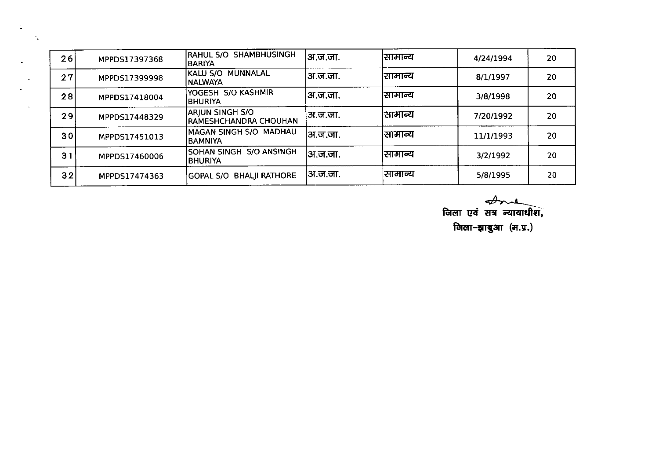| 26              | MPPDS17397368 | RAHUL S/O SHAMBHUSINGH<br><b>BARIYA</b>                | ।अ.ज.जा. | सामान्य | 4/24/1994 | 20 |
|-----------------|---------------|--------------------------------------------------------|----------|---------|-----------|----|
| 27              | MPPDS17399998 | KALU S/O MUNNALAL<br><b>NALWAYA</b>                    | ।अ.ज.जा. | सामान्य | 8/1/1997  | 20 |
| 28              | MPPDS17418004 | YOGESH S/O KASHMIR<br><b>BHURIYA</b>                   | ।अ.ज.जा. | सामान्य | 3/8/1998  | 20 |
| 29              | MPPDS17448329 | <b>ARJUN SINGH S/O</b><br><b>RAMESHCHANDRA CHOUHAN</b> | अ.ज.जा.  | सामान्य | 7/20/1992 | 20 |
| 30 <sup>1</sup> | MPPDS17451013 | MAGAN SINGH S/O MADHAU<br><b>BAMNIYA</b>               | ।अ.ज.जा. | सामान्य | 11/1/1993 | 20 |
| 31              | MPPDS17460006 | SOHAN SINGH S/O ANSINGH<br><b>BHURIYA</b>              | अ.ज.जा.  | सामान्य | 3/2/1992  | 20 |
| 32              | MPPDS17474363 | <b>GOPAL S/O BHALJI RATHORE</b>                        | अ.ज.जा.  | सामान्य | 5/8/1995  | 20 |

 $\ddot{\phantom{a}}$ 

 $\mathcal{F}_{\mathbf{z}}$ 

*<del>्री प्राप्ती हैं।</del>*<br>ज़िला एवं सत्र न्यायाधीश, जिला-झाबुआ $($ म.प्र. $)$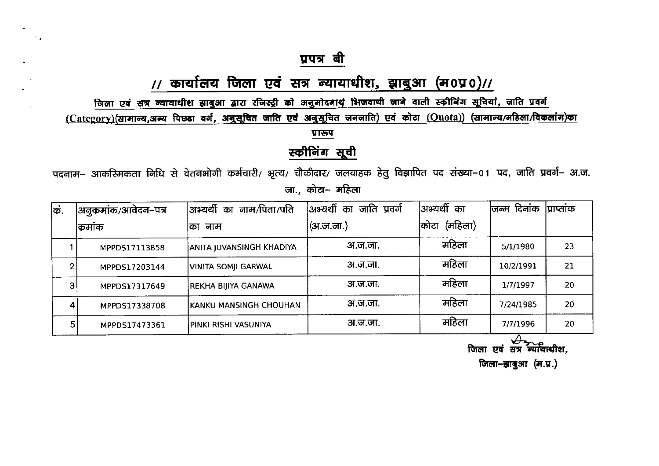$\overline{\phantom{a}}$  .

 $\sim$ 

#### // कार्यालय जिला एवं सत्र न्यायाधीश, झाबुआ (म0प्र0)//

जिला एवं सत्र न्यायाधीश झाबुआ द्वारा रजिस्ट्री को अनुमोदनार्थ भिजवायी जाने वाली स्कीनिंग सूचियां, जाति प्रवर्ग

 $(Category)$ (सामान्य,अन्य पिछ्डा वर्ग, अनुसूचित जाति एवं अनुसूचित जनजाति) एवं कोटा  $(Quota)$ ) (सामान्य/महिला/विकलांग)का

प्रारूप

स्कीनिंग सूची

पदनाम- आकरिमकता निधि से वेतनभोगी कर्मचारी/ भृत्य/ चौकीदार/ जलवाहक हेतु विज्ञापित पद संख्या–01 पद, जाति प्रवर्ग– अ.ज. जा., कोटा– महिला

| किं.           | अनुकमांक/आवेदन–पत्र | अभ्यर्थी<br>नाम/पिता/पति<br>का | अभ्यर्थी का जाति प्रवर्ग | अभ्यर्थी का     | जिन्म दिनांक | प्राप्ताक |
|----------------|---------------------|--------------------------------|--------------------------|-----------------|--------------|-----------|
|                | किमाक               | नाम<br>का                      | (अ.ज.जा.)                | (महिला)<br>कोटा |              |           |
|                | MPPDS17113858       | ANITA JUVANSINGH KHADIYA       | अ.ज.जा.                  | महिला           | 5/1/1980     | 23        |
| 2              | MPPDS17203144       | VINITA SOMJI GARWAL            | अ.ज.जा.                  | महिला           | 10/2/1991    | 21        |
| 3 <sub>1</sub> | MPPDS17317649       | REKHA BIJIYA GANAWA            | अ.ज.जा.                  | महिला           | 1/7/1997     | 20        |
| $\overline{4}$ | MPPDS17338708       | IKANKU MANSINGH CHOUHAN        | अ.ज.जा.                  | महिला           | 7/24/1985    | 20        |
| 5.             | MPPDS17473361       | PINKI RISHI VASUNIYA           | अ.ज.जा.                  | महिला           | 7/7/1996     | 20        |

जिला एवं सत्र न्यायाधीश,

जिला-झाबुआ (म.प्र.)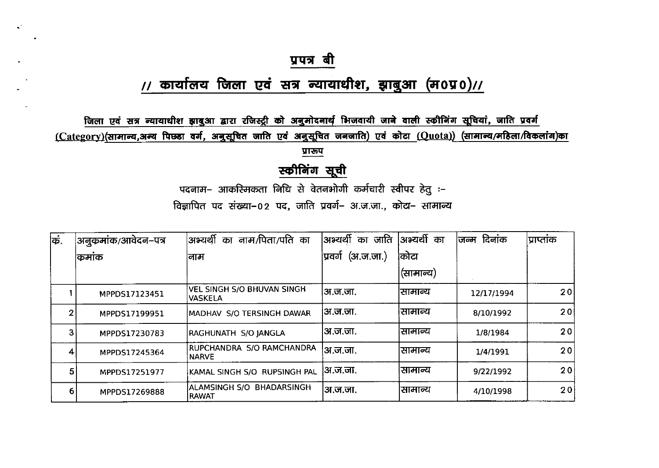# // कार्यालय जिला एवं सत्र न्यायाधीश, झाबुआ (म0प्र0)//

जिला एवं सत्र न्यायाधीश झाबुआ द्वारा रजिस्ट्री को अनुमोदनार्थ भिजवायी जाने वाली स्कीनिंग सूचियां, जाति प्रवर्ग <u>(Category)(सामान्य,अन्य पिछडा वर्ग, अनुसूचित जाति एवं अनुसूचित जनजाति) एवं कोटा (Quota)) (सामान्य/महिला/विकलांग)का</u>

प्रारूप

## स्कीनिंग सूची

पदनाम– आकस्मिकता निधि से वेतनभोगी कर्मचारी स्वीपर हेतु :-

विज्ञापित पद संख्या-02 पद, जाति प्रवर्ग- अ.ज.जा., कोटा- सामान्य

| कं. | अनुकमांक/आवेदन–पत्र | नाम/पिता/पति का<br><sup> </sup> अभ्यर्थी<br>का      | का जाति<br> अभ्यर्थी    | अभ्यर्थी का | दिनांक<br>जन्म | प्राप्ताक |
|-----|---------------------|-----------------------------------------------------|-------------------------|-------------|----------------|-----------|
|     | किमाक               | ।नाम                                                | (3I.5.5II.)<br> प्रवर्ग | कोटा        |                |           |
|     |                     |                                                     |                         | (सामान्य)   |                |           |
|     | MPPDS17123451       | <b>VEL SINGH S/O BHUVAN SINGH</b><br><b>VASKELA</b> | ।अ.ज.जा.                | सामान्य     | 12/17/1994     | 201       |
| 2   | MPPDS17199951       | MADHAV S/O TERSINGH DAWAR                           | ।अ.ज.जा.                | सामान्य     | 8/10/1992      | 201       |
| 3   | MPPDS17230783       | RAGHUNATH S/O JANGLA                                | ।अ.ज.जा.                | राामान्य    | 1/8/1984       | 20        |
| 4   | MPPDS17245364       | RUPCHANDRA S/O RAMCHANDRA<br><b>NARVE</b>           | अ.ज.जा.                 | सामान्य     | 1/4/1991       | 20        |
| 5   | MPPDS17251977       | KAMAL SINGH S/O RUPSINGH PAL                        | अ.ज.जा.                 | सामान्य     | 9/22/1992      | 20        |
| 6.  | MPPDS17269888       | ALAMSINGH S/O BHADARSINGH<br>RAWAT                  | अ.ज.जा.                 | सामान्य     | 4/10/1998      | 20        |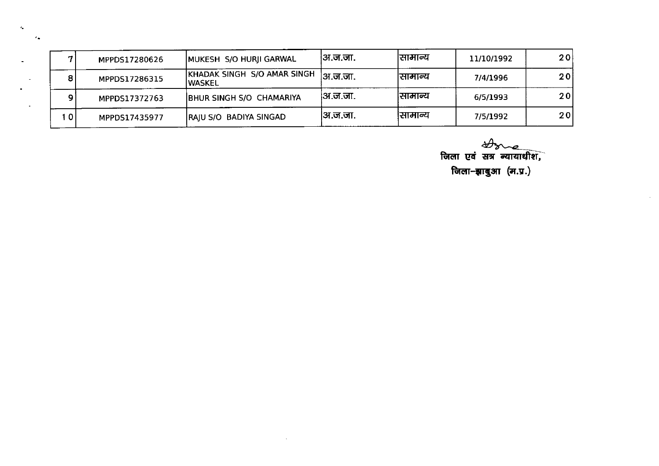| 7               | MPPDS17280626 | MUKESH S/O HURJI GARWAL                | ।अ.ज.जा. | सामान्य | 11/10/1992 | 20  |
|-----------------|---------------|----------------------------------------|----------|---------|------------|-----|
| 8               | MPPDS17286315 | KHADAK SINGH S/O AMAR SINGH<br>IWASKEL | ।अ.ज.जा. | सामान्य | 7/4/1996   | 20  |
| 9               | MPPDS17372763 | BHUR SINGH S/O CHAMARIYA               | ।अ.ज.जा. | सामान्य | 6/5/1993   | 201 |
| 10 <sub>l</sub> | MPPDS17435977 | RAJU S/O BADIYA SINGAD                 | अ.ज.जा.  | सामान्य | 7/5/1992   | 201 |

 $\sim$ 

 $\mathcal{L}_\mathrm{m}$ 

 $\epsilon_{\bullet}$ 

*के*<br>जिला एवं सत्र न्यायाधीश, जिला-झाबुआ $($ म.प्र. $)$